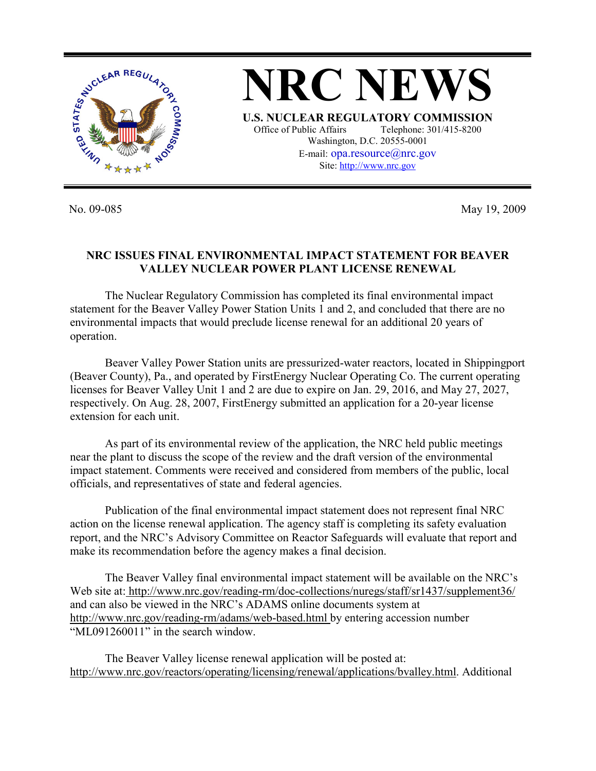

**NRC NEWS U.S. NUCLEAR REGULATORY COMMISSION** Office of Public Affairs Telephone: 301/415-8200 Washington, D.C. 20555-0001 E-mail: opa.resource@nrc.gov Site: http://www.nrc.gov

No. 09-085 May 19, 2009

## **NRC ISSUES FINAL ENVIRONMENTAL IMPACT STATEMENT FOR BEAVER VALLEY NUCLEAR POWER PLANT LICENSE RENEWAL**

 The Nuclear Regulatory Commission has completed its final environmental impact statement for the Beaver Valley Power Station Units 1 and 2, and concluded that there are no environmental impacts that would preclude license renewal for an additional 20 years of operation.

Beaver Valley Power Station units are pressurized-water reactors, located in Shippingport (Beaver County), Pa., and operated by FirstEnergy Nuclear Operating Co. The current operating licenses for Beaver Valley Unit 1 and 2 are due to expire on Jan. 29, 2016, and May 27, 2027, respectively. On Aug. 28, 2007, FirstEnergy submitted an application for a 20-year license extension for each unit.

 As part of its environmental review of the application, the NRC held public meetings near the plant to discuss the scope of the review and the draft version of the environmental impact statement. Comments were received and considered from members of the public, local officials, and representatives of state and federal agencies.

 Publication of the final environmental impact statement does not represent final NRC action on the license renewal application. The agency staff is completing its safety evaluation report, and the NRC's Advisory Committee on Reactor Safeguards will evaluate that report and make its recommendation before the agency makes a final decision.

 The Beaver Valley final environmental impact statement will be available on the NRC's Web site at: http://www.nrc.gov/reading-rm/doc-collections/nuregs/staff/sr1437/supplement36/ and can also be viewed in the NRC's ADAMS online documents system at http://www.nrc.gov/reading-rm/adams/web-based.html by entering accession number "ML091260011" in the search window.

 The Beaver Valley license renewal application will be posted at: http://www.nrc.gov/reactors/operating/licensing/renewal/applications/bvalley.html. Additional